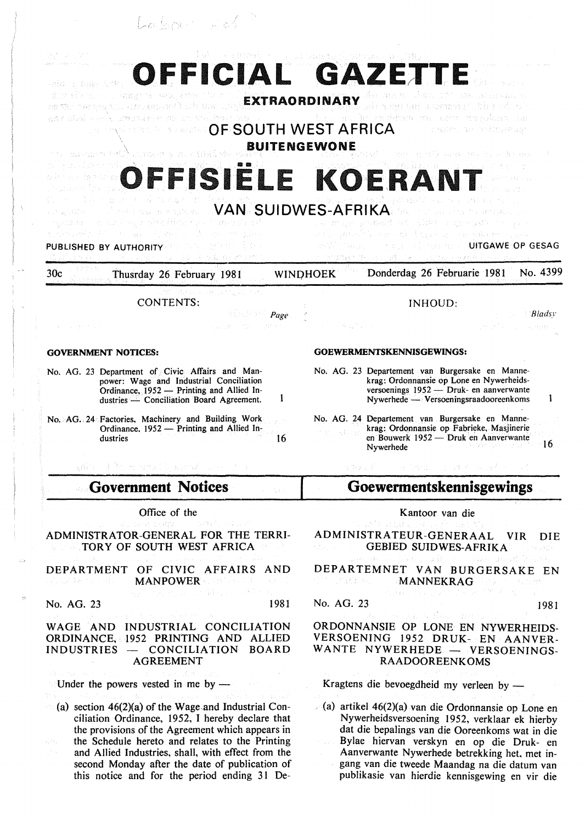|              |  |  | 94 - C-19 I |  |
|--------------|--|--|-------------|--|
| i Lo Septeri |  |  |             |  |

| d ok sine state that we have been as the state of the state of the state of the state of the state of the state of the state of the state of the state of the state of the state of the state of the state of the state of the                                                                                  |                                                                                                                                                                                                                                                                                                                                                      |
|-----------------------------------------------------------------------------------------------------------------------------------------------------------------------------------------------------------------------------------------------------------------------------------------------------------------|------------------------------------------------------------------------------------------------------------------------------------------------------------------------------------------------------------------------------------------------------------------------------------------------------------------------------------------------------|
| OFFICIAL GAZETTE<br>veri su ignos du 19<br>ishi ne muli ƙasar ta Hwaija timin t<br>ROCK DESIGN AND ASSESSMENT ROLL OF THE EXTRAORDINARY<br>ppy cliel meels amondress at an unalitiess city of<br><b>A RESIDENT AND STARK OF SOUTH WEST AFRICA</b><br><b>BUITENGEWONE</b><br>the paraginal mCN was as a consider | DESIMONTO DIRETTAMBENDUNG<br>with some one company's high selector<br>i i bashi anche sandanana me udhe mangelosini usi<br>orades as antiquemas<br>Mit and have professions                                                                                                                                                                          |
| OFFISIËLE KOERANT<br>a agus a cheangas an graon a VAN SUIDWES-AFRIKA:<br>spiran anyw barwing film of month of<br>- De anderen gand<br>té Portugal Cara<br>S. Palent Char<br>PUBLISHED BY AUTHORITY<br>しゅうきょく 反転 ねいめつめて                                                                                          | March of San Francis Headquare in<br>医马二维 爱达 医生物电学<br>있는 것 같은 사람들이 아니다.<br>医黑色 医神经病的 医鹿尾属 人名拉尼 医上皮 医输入器 化分离器<br><b>A Market Communist Convergence Convention Converges Convergence Converges Converges Converges Converges Converges Converges Converges Converges Converges Converges Converges Converges Converges Converges Converges Converg</b> |
| 30 <sub>c</sub><br>Thusrday 26 February 1981<br><b>WINDHOEK</b>                                                                                                                                                                                                                                                 | No. 4399<br>Donderdag 26 Februarie 1981                                                                                                                                                                                                                                                                                                              |
| <b>CONTENTS:</b><br>$\mathbb{R}$ . The <i>Page</i><br>support the committee of<br>しんしょうかいい                                                                                                                                                                                                                      | <b>INHOUD:</b><br><i>Bladsy</i><br>t y Pous eann                                                                                                                                                                                                                                                                                                     |
| <b>GOVERNMENT NOTICES:</b>                                                                                                                                                                                                                                                                                      | GOEWERMENTSKENNISGEWINGS:                                                                                                                                                                                                                                                                                                                            |
| No. AG. 23 Department of Civic Affairs and Man-<br>power: Wage and Industrial Conciliation<br>Ordinance, 1952 - Printing and Allied In-<br>dustries <sup>20</sup> Conciliation Board Agreement.                                                                                                                 | No. AG. 23 Departement van Burgersake en Manne-<br>krag: Ordonnansie op Lone en Nywerheids-<br>versoenings 1952 - Druk- en aanverwante<br>Nywerhede — Versoeningsraadooreenkoms                                                                                                                                                                      |
| No. AG. 24 Factories, Machinery and Building Work<br>Ordinance, 1952 - Printing and Allied In-<br>16<br>dustries                                                                                                                                                                                                | No. AG. 24 Departement van Burgersake en Manne-<br>krag: Ordonnansie op Fabrieke, Masjinerie<br>en Bouwerk 1952 — Druk en Aanverwante<br>-16.<br>Nywerhede                                                                                                                                                                                           |
| ania di Pederentali apral per                                                                                                                                                                                                                                                                                   | 经撤销的第三人称单数 有能力的 计可插入 医肠囊突出                                                                                                                                                                                                                                                                                                                           |
| <b>Government Notices</b><br>2. 人気もの                                                                                                                                                                                                                                                                            | Goewermentskennisgewings                                                                                                                                                                                                                                                                                                                             |
| Office of the                                                                                                                                                                                                                                                                                                   | Kantoor van die                                                                                                                                                                                                                                                                                                                                      |
| Service company of the part of the control<br>ADMINISTRATOR-GENERAL FOR THE TERRI-<br><b>EXAMPLE TORY OF SOUTH WEST AFRICA</b>                                                                                                                                                                                  | international data, in experimental della<br>ADMINISTRATEUR-GENERAAL VIR DIE<br><b>CONSTRUCTED SUIDWES-AFRIKA</b><br>Control Chr                                                                                                                                                                                                                     |
| and the plant of the company and<br>DEPARTMENT OF CIVIC AFFAIRS AND<br>and of the state of <b>MANPOWER</b> show that see the state of<br>医马克耳氏征输尿管 医牙骨下的                                                                                                                                                        | were developed by a little strategies and designed<br>DEPARTEMNET VAN BURGERSAKE EN<br><b>MANNEKRAG</b> AND STATE AND MELTING AND MELTING AND ALL AND MELTING AND ALL AND MELTING AND MELTING AND AND AND M<br>大き数 しょえんえいせん オプクストるい                                                                                                                  |

No. AG. 23 1981

#### WAGE AND INDUSTRIAL CONCILIATION ORDINANCE, 1952 PRINTING AND ALLIED INDUSTRIES - CONCILIATION BOARD AGREEMENT

Under the powers vested in me by  $-$ 

(a) section  $46(2)(a)$  of the Wage and Industrial Conciliation Ordinance, 1952, I hereby declare that the provisions of the Agreement which appears in the Schedule hereto and relates to the Printing and Allied Industries, shall, with effect from the second Monday after the date of publication of this notice and for the period ending 31 De-

#### No. AG. 23 1981

#### ORDONNANSJE OP LONE EN NYWERHEIDS-VERSOENJNG 1952 DRUK- EN AANVER-WANTE NYWERHEDE - VERSOENINGS-RAADOOREENKOMS

Kragtens die bevoegdheid my verleen by -

(a) artikel 46(2)(a) van die Ordonnansie op Lone en Nywerheidsversoening 1952, verklaar ek hierby dat die bepalings van die Ooreenkoms wat in die Bylae hiervan verskyn en op die Druk- en Aanverwante Nywerhede betrekking het, met ingang van die tweede Maandag na die datum van publikasie van hierdie kennisgewing en vir die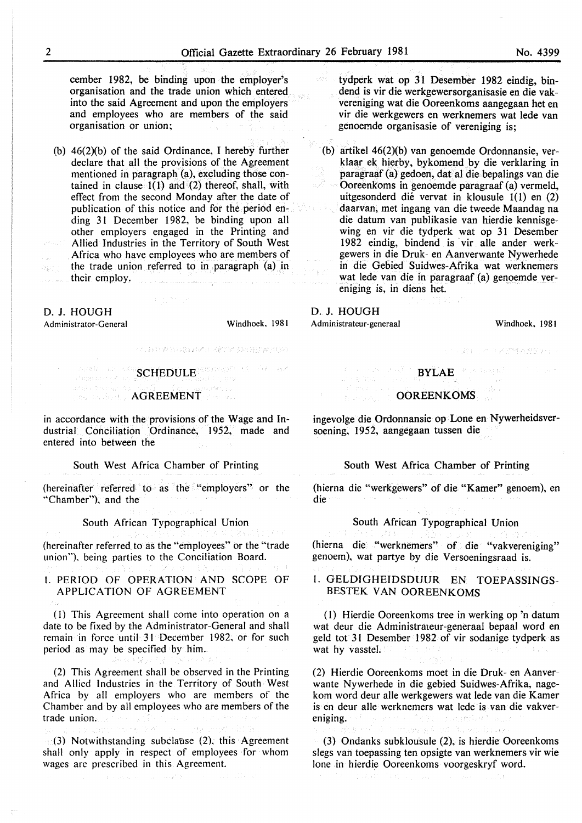cember 1982, be binding upon the employer's organisation and the trade union which entered into the said Agreement and upon the employers and employees who are members of the said organisation or union;

(b) 46(2)(b) of the said Ordinance, I hereby further declare that all the provisions of the Agreement mentioned in paragraph (a), excluding those contained in clause 1(1) and (2) thereof, shall, with effect from the second Monday after the date of publication of this notice and for the period ending 31 December 1982, be binding upon all other employers engaged in the Printing and Allied Industries in the Territory of South West Africa who have employees who are members of the trade union referred to in paragraph (a) in Q) their employ.

e a Salva

#### D. J. HOUGH

Administrator-General

เป็นธนิยม ประเท

Windhoek. 1981

- 스타일 관계 가지 않아서 더 "아니 가지 않아? 이 시

#### Jane 25 Services **AGREEMENT**

SCHEDULE<sup>ears</sup> service of an

in accordance with the provisions of the Wage and Industrial Conciliation Ordinance, 1952, made and entered into between the

#### South West Africa Chamber of Printing

(hereinafter referred to as the "employers" or the ''Chamber"), and the

South African Typographical Union

(hereinafter referred to as the "employees" or the "trade union"), being parties to the Conciliation Board.

#### I. PERIOD OF OPERATION AND SCOPE OF APPLICATION OF AGREEMENT

(I) This Agreement shall come into operation on a date to be fixed by the Administrator-General and shall remain in force until 31 December 1982, or for such period as may be specified by him.

(2) This Agreement shall be observed in the Printing and Allied Industries in the Territory of South West Africa by all employers who are members of the Chamber and by all employees who are members of the trade union.

 $\mathfrak{g}(3)$  Notwithstanding subclause (2), this Agreement shall only apply in respect of employees for whom wages arc prescribed in this Agreement.

tydperk wat op 31 Desember 1982 eindig, bindend is vir die werkgewersorganisasie en die vakvereniging wat die Ooreenkoms aangegaan het en vir die werkgewers en werknemers wat lede van genoemde organisasie of vereniging is;

(b) artikel  $46(2)(b)$  van genoemde Ordonnansie, verklaar ek hierby, bykomend by die verklaring in paragraaf (a) gedoen, datal die bepalings van die Ooreenkoms in genoemde paragraaf (a) vermeld, uitgesonderd die vervat in klousule 1(1) en (2) daarvan, met ingang van die tweede Maandag na die datum van publikasie van hierdie kennisgewing en vir die tydperk wat op 31 Desember 1982 eindig, bindend is vir aile ander werkgewers in die Druk- en Aanverwante Nywerhede in die Gebied Suidwes-Afrika wat werknemers wat lede van die in paragraaf (a) genoemde vereniging is, in diens het.

## D. J. HOUGH

Administrateur-generaal Windhoek, 1981

## Text of USA 405 37 April 1

# i kongresia<br>Antara ing K OOREENKOMS

ingevolge die Ordonnansie op Lone en Nywerheidsversoening, 1952, aangegaan tussen die

BYLAE

#### South West Africa Chamber of Printing

(hierna die "werkgewers" of die "Kamer" genoem), en die

### South African Typographical Union

(hierna die "werknemers" of die "vakvereniging" genoem), wat partye by die Versoeningsraad is.

#### l. GELDIGHEIDSDUUR EN TOEPASSINGS-BESTEK VAN OOREENKOMS

( l) Hierdie Ooreenkoms tree in werking op 'n datum wat deur die Administrateur-generaal bepaal word en geld tot 31 Desember 1982 of vir sodanige tydperk as wat hy vasstel.

(2) Hierdie Ooreenkoms moet in die Druk- en Aanverwante Nywerhede in die gebied Suidwes-Afrika, nagekom word deur aile werkgewers wat lede van die Kamer is en deur aile werknemers wat lede is van die vakvereniging. and mile the mo mong install in equ

(3) Ondanks subklousule (2), is hierdie Ooreenkoms slegs van toepassing ten opsigte van werknemers vir wie lone in hierdie Ooreenkoms voorgeskryf word.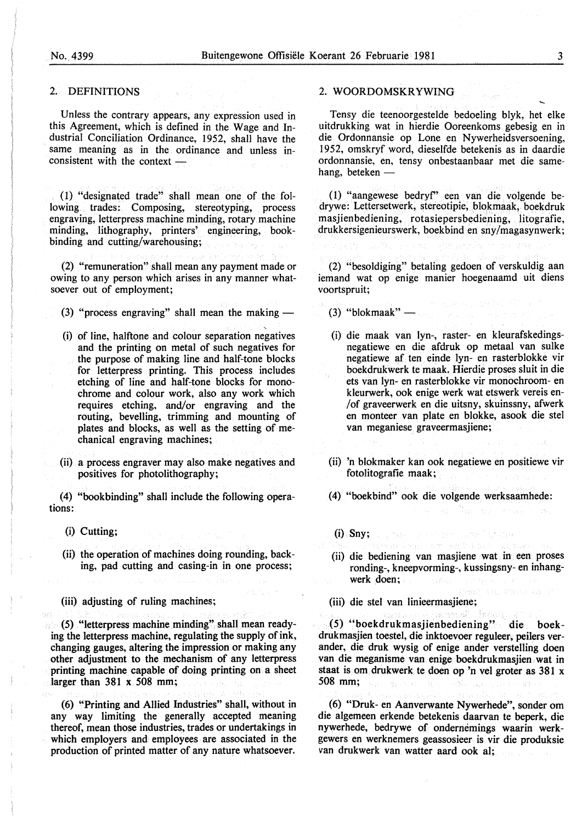#### 2. DEFINITIONS

Unless the contrary appears, any expression used in this Agreement, which is defined in the Wage and Industrial Conciliation Ordinance, 1952, shall have the same meaning as in the ordinance and unless in $consistent$  with the context  $-$ 

(1) "designated trade" shall mean one of the following trades: Composing, stereotyping, process engraving, letterpress machine minding, rotary machine minding, lithography, printers' engineering, bookbinding and cutting/warehousing;

(2) "remuneration" shall mean any payment made or owing to any person which arises in any manner whatsoever out of employment;

(3) "process engraving" shall mean the making  $-$ 

- (i) of line, halftone and colour separation negatives and the printing on metal of such negatives for the purpose of making line and half-tone blocks for letterpress printing. This process includes etching of line and half-tone blocks for monochrome and colour work, also any work which requires etching, and/or engraving and the routing, bevelling, trimming and mounting of plates and blocks, as well as the setting of mechanical engraving machines;
- (ii) a process engraver may also make negatives and positives for photolithography;

(4) "bookbinding" shall include the following operations:

- (i) Cutting;
- (ii) the operation of machines doing rounding, backing, pad cutting and casing-in in one process;

(iii) adjusting of ruling machines;

(5) "letterpress machine minding" shall mean readying the letterpress machine, regulating the supply of ink, changing gauges, altering the impression or making any other adjustment to the mechanism of any letterpress printing machine capable of doing printing on a sheet larger than 381 x 508 mm;

(6) "Printing and Allied Industries" shall, without in any way limiting the generally accepted meaning thereof, mean those industries, trades or undertakings in which employers and employees are associated in the production of printed matter of any nature whatsoever.

#### 2. WOORDOMSKRYWING

Tensy die teenoorgestelde bedoeling blyk, het elke uitdrukking wat in hierdie Ooreenkoms gebesig en in die Ordonnansie op Lone en Nywerheidsversoening, 1952, omskryf word, dieselfde betekenis as in daardie ordonnansie, en, tensy onbestaanbaar met die samehang, beteken -

(1) "aangewese bedryf' een van die volgende bedrywe: Lettersetwerk, stereotipie, blokmaak, boekdruk masjienbediening, rotasiepersbediening, litografie, drukkersigenieurswerk, boekbind en sny /magasynwerk;

(2) "besoldiging" betaling gedoen of verskuldig aan iemand wat op enige manier hoegenaamd uit diens voortspruit;

 $(3)$  "blokmaak" —

- (i) die maak van lyn-, raster- en kleurafskedingsnegatiewe en die afdruk op metaal van sulke negatiewe af ten einde lyn- en rasterblokke vir boekdrukwerk te maak. Hierdie proses sluit in die ets van lyn- en rasterblokke vir monochroom- en kleurwerk, ook enige werk wat etswerk vereis en- /of graveerwerk en die uitsny, skuinssny, afwerk en monteer van plate en blokke, asook die stel van meganiese graveermasjiene;
- (ii) 'n blokmaker kan ook negatiewe en positiewe vir fotolitografie maak;

(4) "boekbind" ook die volgende werksaamhede:

- (i) Sny;
- (ii) die bediening van masjiene wat in een proses ronding-, kneepvorming-, kussingsny- en inhangwerk doen;

sam or a ghiulos

(iii) die stet van linieermasjiene;

(5) "boekdrukmasjienbediening" die boekdrukmasjien toestel, die inktoevoer reguleer, peilers verander, die druk wysig of enige ander verstelling doen van die meganisme van enige boekdrukmasjien wat in staat is om drukwerk te doen op 'n vel groter as 381 x 508 mm;

(6) "Druk- en Aanverwante Nywerhede", sonder om die algemeen erkende betekenis daarvan te beperk, die nywerhede, bedrywe of ondernemings waarin werkgewers en werknemers geassosieer is vir die produksie van drukwerk van watter aard ook al;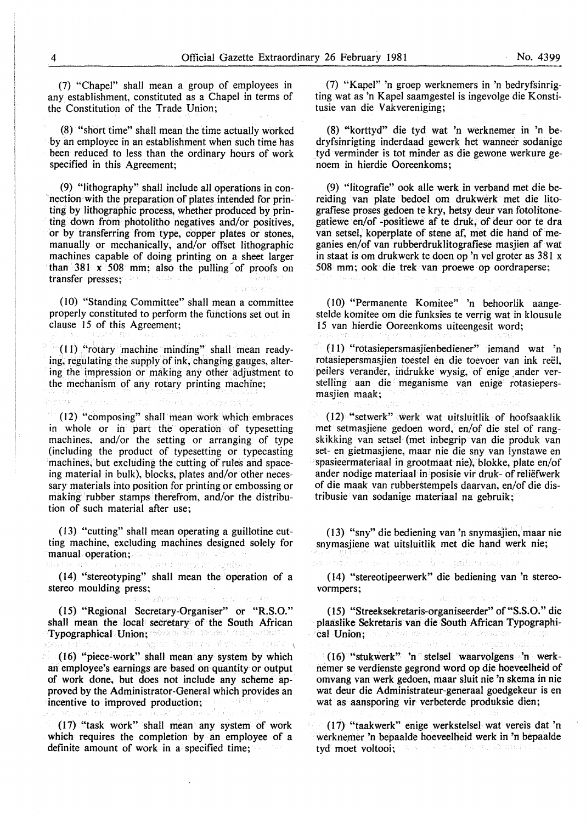(7) "Chapel" shall mean a group of employees in any establishment, constituted as a Chapel in terms of the Constitution of the Trade Union;

(8) "short time" shall mean the time actually worked by an employee in an establishment when such time has been reduced to less than the ordinary hours of work specified in this Agreement;

(9) "lithography" shall include all operations in connection with the preparation of plates intended for printing by lithographic process, whether produced by printing down from photolitho negatives and/or positives, or by transferring from type, copper plates or stones, manually or mechanically, and/or offset lithographic machines capable of doing printing on a sheet larger than 381  $x = 508$  mm; also the pulling of proofs on transfer presses;

(10) "Standing Committee" shall mean a committee properly constituted to perform the functions set out in clause 15 of this Agreement;

(II) "rotary machine minding" shall mean readying, regulating the supply of ink, changing gauges, altering the impression or making any other adjustment to the mechanism of any rotary printing machine;

(12) "composing" shall mean work which embraces in whole or in part the operation of typesetting machines, and/or the setting or arranging of type (including the product of typesetting or typecasting machines; but excluding the cutting of rules and spaceing material in bulk), blocks, plates and/or other necessary materials into position for printing or embossing or making rubber stamps therefrom, and/or the distribution of such material after use;

(13) "cutting" shall mean operating a guillotine cutting machine, excluding machines designed solely for manual operation; and show approving

massad Seni

(14) "stereotyping" shall mean the operation of a stereo moulding press;

外世 被轻轻地 网络白斑 小规则 白云县

(15) "Regional Secretary-Organiser" or "KS.O." shall mean the local secretary of the South African Typographical Union; · some sid in assert ville antistic.<br>2010 and 2012 and was segion dia giay of she side order of

(16) "piece-work" shall mean any system by which an employee's earnings are based on quantity or output of work done, but does not include any scheme approved by the Administrator-General which provides an incentive to improved production;

(17) "task work" shall mean any system of work which requires the completion by an employee of a definite amount of work in a specified time;

(7) "Kapel" 'n groep werknemers in 'n bedryfsinrigting wat as 'n Kapel saamgestel is ingevolge die Konstitusie van die Vakvereniging;

(8) "korttyd" die tyd wat 'n werknemer in 'n bedryfsinrigting inderdaad gewerk het wanneer sodanige tyd verminder is tot minder as die gewone werkure genoem in hierdie Ooreenkoms;

(9) "litografie" ook aile werk in verband met die bereiding van plate bedoel om drukwerk met die litografiese proses gedoen te kry, betsy deur van fotolitonegatiewe en/of -positiewe af te druk, of deur oor te dra van setsel, koperplate of stene af, met die hand of meganies en/of van rubberdruklitografiese masjien af wat in staat is om drukwerk te doen op 'n vel groter as 381 x 508 mm; ook die trek van proewe op oordraperse;

(10) "Permanente Komitee" 'n behoorlik aangestelde komitee om die funksies te verrig wat in klousule 15 van hierdie Ooreenkoms uiteengesit word;

第2,七百年(式)

(I 1) "rotasiepersmasjienbediener" iemand wat 'n rotasiepersmasjien toestel en die toevoer van ink reel, peilers verander, indrukke wysig, of enige ander verstelling aan die meganisme van enige rotasiepersmasjien maak;

( 12) "setwerk" werk wat uitsluitlik of hoofsaaklik met setmasjiene gedoen word, en/of die stel of rangskikking van setsel (met inbegrip van die produk van set- en gietmasjiene, maar nie die sny van lynstawe en spasieermateriaal in grootmaat nie), blokke, plate en/of ander nodige materiaal in posisie vir druk- ofreliefwerk of die maak van rubberstempels daarvan, en/of die distribusie van sodanige materiaal na gebruik;

(13) "sny" die bediening van 'n snymasjien, maar nie snymasjiene wat uitsluitlik met die hand werk nie;

spalas ber gaines son con

(14) "stereotipeerwerk" die bediening van 'n stereovormpers;

The Secretary Adventure

(15) "Streeksekretaris-organiseerder" of "S.S.O." die plaaslike Sekretaris van die South African Typographical Union; and stimulate the social composable<br>as he rest as advantaged with an oblique quite gain

(16) "stukwerk" 'n stelsel waarvolgens 'n werknemer se verdienste gegrond word op die hoeveelheid of omvang van werk gedoen, maar sluit nie 'n skema in nie wat deur die Administrateur-generaal goedgekeur is en wat as aansporing vir verbeterde produksie dien;

(17) "taakwerk" enige werkstelsel wat vereis dat 'n werknemer 'n bepaalde hoeveelheid werk in 'n bepaalde tyd moet voltooi; (1) ないと呼ばれた

as Ap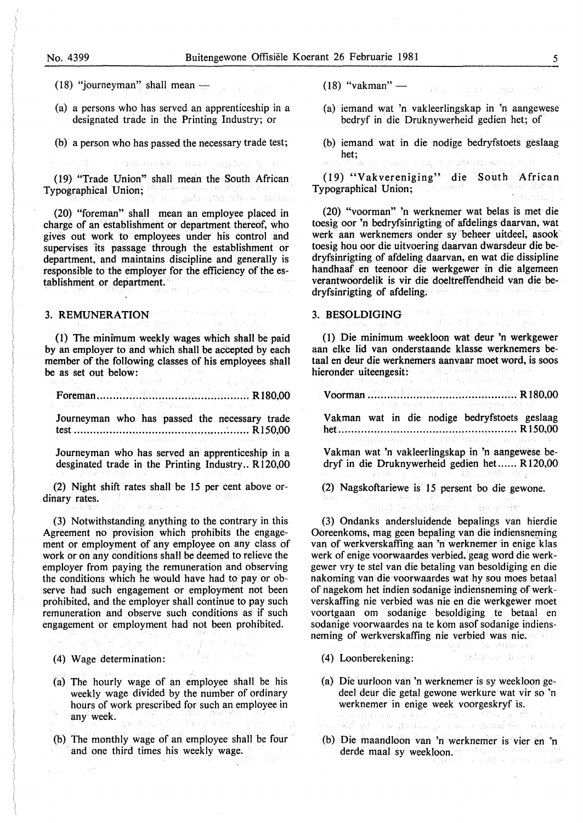#### No. 4399 Buitengewone Offisiele Koerant 26 Februarie 1981 5

- (18) "journeyman" shall mean  $\frac{1}{\sqrt{2}}$
- (a) a persons who has served an apprenticeship in a designated trade in the Printing Industry; or

(b) a person who has passed the necessary trade test;

The conservation of the complete to

(19) "Trade Union" shall mean the South African Typographical Union; no business and satisfied all consideration of the satisfied of the space of

(20) "foreman" shall mean an employee placed in charge of an establishment or department thereof, who gives out work to employees under his control and supervises 'its passage through the establishment or department, and maintains discipline and generally is responsible to the employer for the efficiency of the establishment or department.

## 3. REMUNERATION

( l) The minimum weekly wages which shall be paid by an employer to and which shall be accepted by each member of the following classes of his employees shall be as set out below:

## Foreman ............................................... R180,00

Journeyman who has passed the necessary trade test ..........................................•.... · ....... R 150,00

Journeyman who has served an apprenticeship in a desginated trade in the Printing Industry.. R120,00

(2) Night shift rates shall be 15 per cent above ordinary rates. Aftal Perkan

(3) Notwithstanding anything to the contrary in this Agreement no provision which prohibits the engagement or employment of any employee on any class of work or on any conditions shall be deemed to relieve the employer from paying the remuneration and observing the conditions which he would have had to pay or observe had such engagement or employment not been prohibited, and the employer shall continue to pay such remuneration and observe such conditions as if such engagement or employment had not been prohibited.

(4) Wage determination: We have such as

Arthur Air (Bann

- (a) The hourly wage of an employee shall be his weekly wage divided by the number of ordinary hours of work prescribed for such an employee in any week.
- (b) The monthly wage of an employee shall be four and one third times his weekly wage.
- $(18)$  "vakman" Web - War - Webs
- (a) iemand wat 'n vakleerlingskap in 'n aangewese bedryf in die Druknywerheid gedien het; of
- (b) iemand wat in die nodige bedryfstoets geslaag het; axa ng so a Hans morengal to i

(19) "Vakvereniging" die South African Typographical Union;

(20) "voorman" 'n werknemer wat belas is met die toesig oor 'n bedryfsinrigting of afdelings daarvan, wat werk aan werknemers onder sy beheer uitdeel, asook toesig hou oor die uitvoering daarvan dwarsdeur die bedryfsinrigting of afdeling daarvan, en wat die dissipline handhaaf en teenoor die werkgewer in die algemeen verantwoordelik is vir die doeltreffendheid van die bedryfsinrigting of afdeling. i gist inde Pau

## 3. BESOLDIGING A CARDINAL CONSTRUCTION OF

(1) Die minimum weekloon wat deur 'n werkgewer aan elke lid van onderstaande klasse werknemers betaal en deur die werknemers aanvaar moet word, is soos hieronder uiteengesit: 90., .

Voorman .............................................. Rl80,00

Vakman wat in die nodige bedryfstoets geslaag het ....................................................... R 150,00

Vakman wat 'n vakleerlingskap in 'n aangewese bedryf in die Druknywerheid gedien het...... R 120,00

wor.

No holbs of the space in

(2) Nagskoftariewe is 15 persent bo die gewone.

(3) Ondanks andersluidende bepalings van hierdie Ooreenkoms, mag geen bepaling van die indiensneming van of werkverskaffing aan 'n werknemer in enige klas werk of enige voorwaardes verbied, geag word die werkgewer vry te stel van die betaling van besoldiging en die nakoming van die voorwaardes wat hy sou moes betaal of nagekom het indien sodanige indierisneming ofwerkverskaffing nie verbied was nie en die werkgewer moet voortgaan om sodanige besoldiging te betaal en sodanige voorwaardes na te kom asof sodanige indiensneming of werkverskaffing nie verbied was nie.

- odm.o. have (4) Loonberekening:
- (a) Die uurloon van 'n werknemer is sy weekloon gedeel deur die getal gewone werkure wat vir so 'n werknemer in enige week voorgeskryf is. 関係につみこと (43) ti kiji gel v z la traduce glev plan an modular voj opava
- (b) Die maandloon van 'n werknemer is vier en 'n derde maal sy weekloon.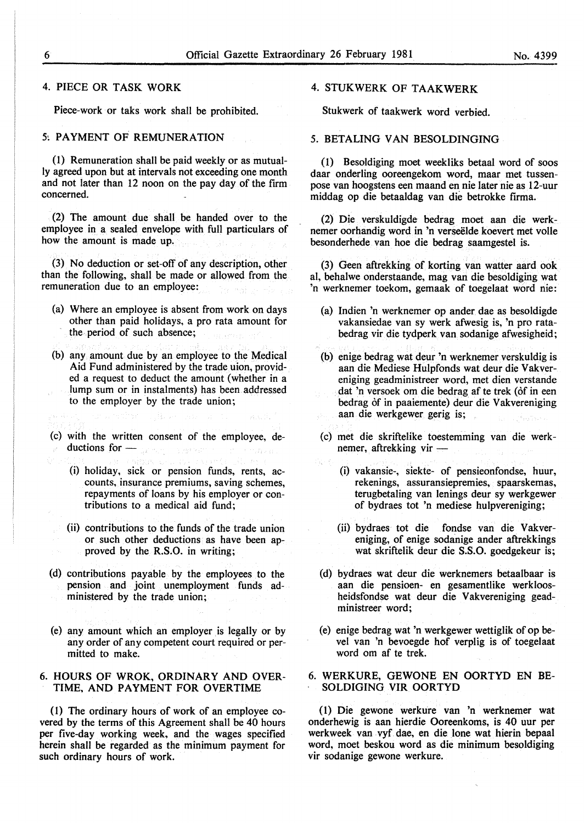#### 4. PIECE OR TASK WORK

Piece-work or taks work shall be prohibited.

#### 5! PAYMENT OF REMUNERATION

(1) Remuneration shall be paid weekly or as mutually agreed upon but at intervals not exceeding one month and not later than 12 noon on the pay day of the firm concerned.

(2) The amount due shall be handed over to the employee in a sealed envelope with full particulars of how the amount is made up.

(3) No deduction or set-off of any description, other than the following, shall be made or allowed from the remuneration due to an employee:

- (a) Where an employee is absent from work on days other than paid holidays, a pro rata amount for the· period of such absence;
- (b) any amount due by an employee to the Medical Aid Fund administered by the trade uion, provided a request to deduct the amount (whether in a lump sum or in instalments) has been addressed to the employer by the trade union;
- 
- (c) with the written consent of the employee, de $ductions for  $-\frac{1}{2}$$  $\hat{\gamma}_1 = \hat{\gamma}_1 \hat{\gamma}_2 \hat{\gamma}_1 \hat{\gamma}_2$  .
	- (i) holiday, sick or pension funds, rents, accounts, insurance premiums, saving schemes, repayments of loans by his employer or contributions to a medical aid fund;
	- (ii) contributions to the funds of the trade union or such other deductions as have been approved by the R.S.O. in writing;
- (d) contributions payable by the employees to the pension and joint unemployment funds administered by the trade union;
- (e) any amount which an employer is legally or by any order of any competent court required or permitted to make.

#### 6. HOURS OF WROK, ORDINARY AND OVER-TIME, AND PAYMENT FOR OVERTIME

( 1) The ordinary hours of work of an employee covered by the terms of this Agreement shall be 40 hours per five-day working week, and the wages specified herein shall be regarded as the minimum payment for such ordinary hours of work.

#### 4. STUKWERK OF TAAKWERK

Stukwerk of taakwerk word verbied.

#### 5. BETALING VAN BESOLDINGING

(1) Besoldiging moet weekliks betaal word of soos daar onderling ooreengekom word, maar met tussenpose van hoogstens een maand en nie later nie as 12-uur middag op die betaaldag van die betrokke firma.

(2) Die verskuldigde bedrag moet aan die werknemer oorhandig word in 'n verseelde koevert met voile besonderhede van hoe die bedrag saamgestel is.

(3) Geen aftrekking of korting van watter aard ook al, behalwe onderstaande, mag van die besoldiging wat 'n werknemer toekom, gemaak of toegelaat word nie:

- (a) Indien 'n werknemer op ander dae as besoldigde vakansiedae van sy werk afwesig is, 'n pro ratabedrag vir die tydperk van sodanige afwesigheid;
- (b) enige bedrag wat deur 'n werknemer verskuldig is aan die Mediese Hulpfonds wat deur die Vakvereniging geadministreer word, met dien verstande dat 'n versoek om die bedrag af te trek (of in een bedrag of in paaiemente) deur die Vakvereniging aan die werkgewer gerig is;
- (c) met die skriftelike toestemming van die werknemer, aftrekking vir -
	- (i) vakansie-, siekte- of pensieonfondse, huur, rekenings, assuransiepremies, spaarskemas, terugbetaling van lenings deur sy werkgewer of bydraes tot 'n mediese hulpvereniging;
	- (ii) bydraes tot die fondse van die Vakvereniging, of enige sodanige ander aftrekkings wat skriftelik deur die S.S.O. goedgekeur is;
- (d) bydraes wat deur die werknemers betaalbaar is aan die pensioen- en gesamentlike werkloosheidsfondse wat deur die Vakvereniging geadministreer word;
- (e) enige bedrag wat 'n werkgewer wettiglik of op bevel van 'n bevoegde hof verplig is of toegelaat word om af te trek.

#### 6. WERKURE, GEWONE EN OORTYD EN BE-SOLDIGING VIR OORTYD

( l) Die gewone werktire van 'n werknemer wat onderhewig is aan hierdie Ooreenkoms, is 40 uur per werkweek van vyf dae, en die lone wat hierin bepaal word, moet beskou word as die minimum besoldiging vir sodanige gewone werkure.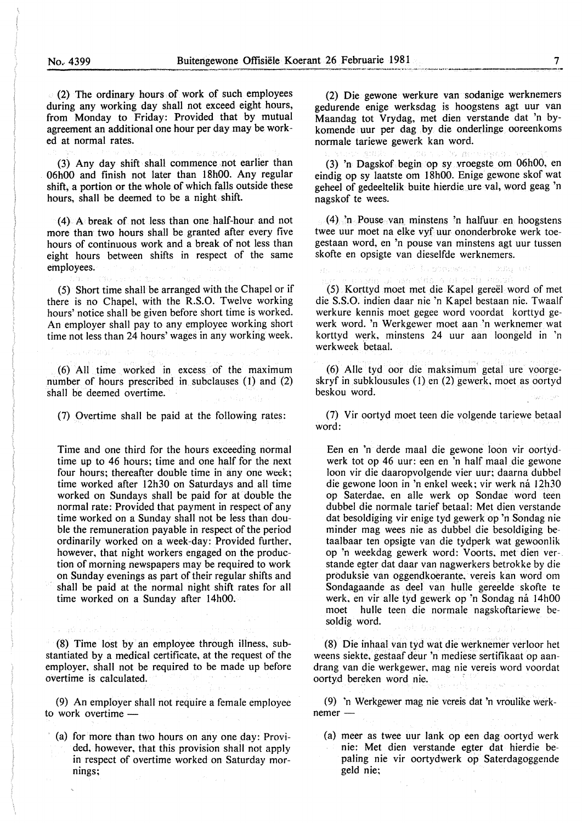(2) The ordinary hours of work of such employees during any working day shall not exceed eight hours, from Monday to Friday: Provided that by mutual agreement an additional one hour per day may be worked at normal rates.

---------~--~---~~-~-~~=-=~· ....

(3) Any day shift shall commence not earlier than 06h00 and finish not later than 18h00. Any regular shift, a portion or the whole of which falls outside these hours, shall be deemed to be a night shift.

(4) A break of not Jess than one half-hour and not more than two hours shall be granted after every five hours of continuous work and a break of not less than eight hours between shifts in respect of the same employees.

(5) Short time shall be arranged with the Chapel or if there is no Chapel, with the R.S.O. Twelve working hours' notice shall be given before short time is worked. An employer shall pay to any employee working short time not less than 24 hours' wages in any working week.

(6) All time worked in excess of the maximum number of hours prescribed in subclauses (I) and (2) shall be deemed overtime.

(7) Overtime shall be paid at the following rates:

Time and one third for the hours exceeding normal time up to 46 hours; time and one half for the next four hours; thereafter double time in any one week; time worked after 12h30 on Saturdays and all time worked on Sundays shall be paid for at double the normal rate: Provided that payment in respect of any time worked on a Sunday shall not be less than double the remuneration payable in respect of the period ordinarily worked on a week-day: Provided further, however, that night workers engaged on the production of morning newspapers may be required to work on Sunday evenings as part of their regular shifts and shall be paid at the normal night shift rates for all time worked on a Sunday after 14h00.

(8) Time lost by an employee through illness, substantiated by a medical certificate, at the request of the employer, shall not be required to be made up before overtime is calculated.

(9) An employer shall not require a female employee to work overtime -

(a) for more than two hours on any one day: Provided, however, that this provision shall not apply in respect of overtime worked on Saturday mornings;

(2) Die gewone werkure van sodanige werknemers gedurende enige werksdag is hoogstens agt uur van Maandag tot Vrydag, met dien verstande dat 'n bykomende uur per dag by die onderlinge ooreenkoms normale tariewe gewerk kan word.

(3) 'n Dagskof begin op sy vroegste om 06h00, en eindig op sy laatste om 18h00. Enige gewone skof wat geheel of gedeeltelik buite hierdie ure val, word geag 'n nagskof te wees.

 $(4)$  'n Pouse van minstens 'n halfuur en hoogstens twee uur moet na elke vyf uur ononderbroke werk toegestaan word, en 'n pouse van minstens agt uur tussen skofte en opsigte van dieselfde werknemers.

<sup>na</sup> 1. gombet 2 DORS.

(5) Korttyd moet met die Kapel gereel word of met die S.S.O. indien daar nie 'n Kapel bestaan nie. Twaalf werkure kennis moet gegee word voordat korttyd gewerk word. 'n Werkgewer moet aan 'n werknemer wat korttyd werk, minstens 24 uur aan loongeld in 'n werkweek betaal.

(6) Aile tyd oor die maksimum getal ure voorgeskryf in subklousules (I) en (2) gewerk, moet as oortyd beskou word.

(7) Vir oortyd moet teen die volgende tariewe betaal word:

Een en 'n derde maal die gewone loon vir oortydwerk tot op 46 uur: een en 'n half maal die gewone loon vir die daaropvolgende vier uur; daarna dubbel die gewone loon in 'n enkel week; vir werk ná 12h30 op Saterdae, en aile werk op Sondae word teen dubbel die normale tarief betaal: Met dien verstande dat besoldiging vir enige tyd gewerk op 'n Sondag nie minder mag wees nie as dubbel die besoldiging betaalbaar ten opsigte van die tydperk wat gewoonlik op 'n weekdag gewerk word: Voorts, met dien ver-. stande egter dat daar van nagwerkers betrokke by die produksie van oggendkoerante, vereis kan word om Sondagaande as deel van hulle gereelde skofte te werk, en vir alle tyd gewerk op 'n Sondag ná 14h00 moet hulle teen die normale nagskoftariewe besoldig word.

(8) Die inhaal van tyd wat die werknemer verloor het weens siekte, gestaaf deur 'n mediese sertifikaat op aandrang van die werkgewer, mag nie vereis word voordat oortyd bereken word nie. *:* 

(9) 'n Werkgewer mag nie vcreis dat 'n vroulike werknemer-

(a) meer as twee uur lank op een dag oortyd werk nie: Met dien verstande egter dat hierdie bepaling nie vir oortydwerk op Saterdagoggende geld nie;